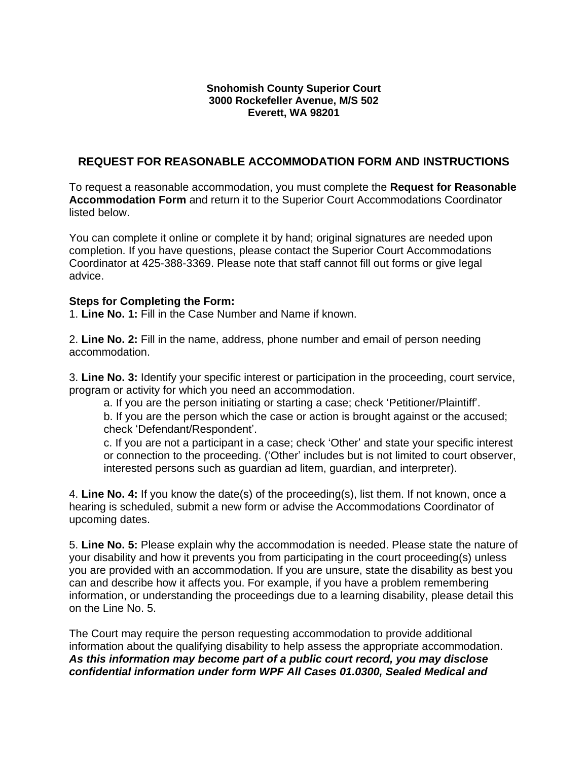#### **Snohomish County Superior Court 3000 Rockefeller Avenue, M/S 502 Everett, WA 98201**

# **REQUEST FOR REASONABLE ACCOMMODATION FORM AND INSTRUCTIONS**

To request a reasonable accommodation, you must complete the **Request for Reasonable Accommodation Form** and return it to the Superior Court Accommodations Coordinator listed below.

You can complete it online or complete it by hand; original signatures are needed upon completion. If you have questions, please contact the Superior Court Accommodations Coordinator at 425-388-3369. Please note that staff cannot fill out forms or give legal advice.

#### **Steps for Completing the Form:**

1. **Line No. 1:** Fill in the Case Number and Name if known.

2. **Line No. 2:** Fill in the name, address, phone number and email of person needing accommodation.

3. **Line No. 3:** Identify your specific interest or participation in the proceeding, court service, program or activity for which you need an accommodation.

a. If you are the person initiating or starting a case; check 'Petitioner/Plaintiff'.

b. If you are the person which the case or action is brought against or the accused; check 'Defendant/Respondent'.

c. If you are not a participant in a case; check 'Other' and state your specific interest or connection to the proceeding. ('Other' includes but is not limited to court observer, interested persons such as guardian ad litem, guardian, and interpreter).

4. **Line No. 4:** If you know the date(s) of the proceeding(s), list them. If not known, once a hearing is scheduled, submit a new form or advise the Accommodations Coordinator of upcoming dates.

5. **Line No. 5:** Please explain why the accommodation is needed. Please state the nature of your disability and how it prevents you from participating in the court proceeding(s) unless you are provided with an accommodation. If you are unsure, state the disability as best you can and describe how it affects you. For example, if you have a problem remembering information, or understanding the proceedings due to a learning disability, please detail this on the Line No. 5.

The Court may require the person requesting accommodation to provide additional information about the qualifying disability to help assess the appropriate accommodation. *As this information may become part of a public court record, you may disclose confidential information under form WPF All Cases 01.0300, Sealed Medical and*